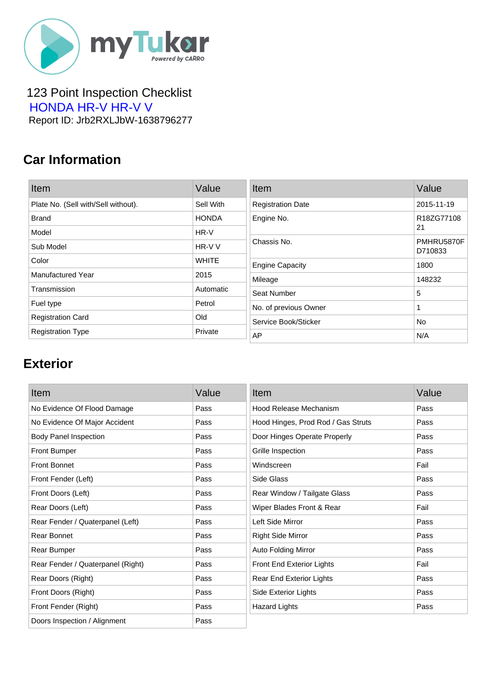

 123 Point Inspection Checklist  [HONDA HR-V HR-V V](https://mytukar.com/q/GP2136) Report ID: Jrb2RXLJbW-1638796277

### **Car Information**

| Item                                | Value        | Item                     | Value                 |
|-------------------------------------|--------------|--------------------------|-----------------------|
| Plate No. (Sell with/Sell without). | Sell With    | <b>Registration Date</b> | 2015-11-19            |
| <b>Brand</b>                        | <b>HONDA</b> | Engine No.               | R18ZG77108            |
| Model                               | HR-V         |                          | 21                    |
| Sub Model                           | HR-V V       | Chassis No.              | PMHRU5870F<br>D710833 |
| Color                               | <b>WHITE</b> | <b>Engine Capacity</b>   | 1800                  |
| <b>Manufactured Year</b>            | 2015         | Mileage                  | 148232                |
| Transmission                        | Automatic    | Seat Number              | 5                     |
| Fuel type                           | Petrol       | No. of previous Owner    |                       |
| <b>Registration Card</b>            | Old          | Service Book/Sticker     | No                    |
| <b>Registration Type</b>            | Private      | AP                       | N/A                   |

#### **Exterior**

| Item                              | Value | Item                               | Value |
|-----------------------------------|-------|------------------------------------|-------|
| No Evidence Of Flood Damage       | Pass  | Hood Release Mechanism             | Pass  |
| No Evidence Of Major Accident     | Pass  | Hood Hinges, Prod Rod / Gas Struts | Pass  |
| <b>Body Panel Inspection</b>      | Pass  | Door Hinges Operate Properly       | Pass  |
| <b>Front Bumper</b>               | Pass  | Grille Inspection                  | Pass  |
| <b>Front Bonnet</b>               | Pass  | Windscreen                         | Fail  |
| Front Fender (Left)               | Pass  | Side Glass                         | Pass  |
| Front Doors (Left)                | Pass  | Rear Window / Tailgate Glass       | Pass  |
| Rear Doors (Left)                 | Pass  | Wiper Blades Front & Rear          | Fail  |
| Rear Fender / Quaterpanel (Left)  | Pass  | Left Side Mirror                   | Pass  |
| Rear Bonnet                       | Pass  | <b>Right Side Mirror</b>           | Pass  |
| Rear Bumper                       | Pass  | <b>Auto Folding Mirror</b>         | Pass  |
| Rear Fender / Quaterpanel (Right) | Pass  | Front End Exterior Lights          | Fail  |
| Rear Doors (Right)                | Pass  | Rear End Exterior Lights           | Pass  |
| Front Doors (Right)               | Pass  | Side Exterior Lights               | Pass  |
| Front Fender (Right)              | Pass  | <b>Hazard Lights</b>               | Pass  |
| Doors Inspection / Alignment      | Pass  |                                    |       |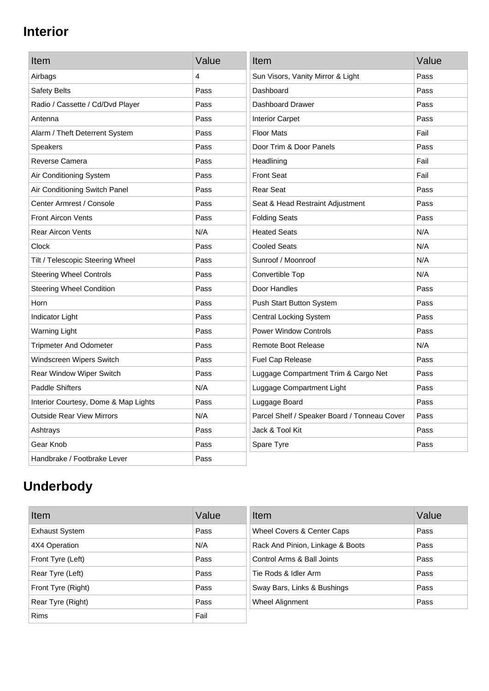## **Interior**

| Item                                 | Value | Item                                         | Value |
|--------------------------------------|-------|----------------------------------------------|-------|
| Airbags                              | 4     | Sun Visors, Vanity Mirror & Light            | Pass  |
| Safety Belts                         | Pass  | Dashboard                                    | Pass  |
| Radio / Cassette / Cd/Dvd Player     | Pass  | Dashboard Drawer                             | Pass  |
| Antenna                              | Pass  | <b>Interior Carpet</b>                       | Pass  |
| Alarm / Theft Deterrent System       | Pass  | <b>Floor Mats</b>                            | Fail  |
| <b>Speakers</b>                      | Pass  | Door Trim & Door Panels                      | Pass  |
| Reverse Camera                       | Pass  | Headlining                                   | Fail  |
| Air Conditioning System              | Pass  | <b>Front Seat</b>                            | Fail  |
| Air Conditioning Switch Panel        | Pass  | <b>Rear Seat</b>                             | Pass  |
| Center Armrest / Console             | Pass  | Seat & Head Restraint Adjustment             | Pass  |
| <b>Front Aircon Vents</b>            | Pass  | <b>Folding Seats</b>                         | Pass  |
| <b>Rear Aircon Vents</b>             | N/A   | <b>Heated Seats</b>                          | N/A   |
| Clock                                | Pass  | <b>Cooled Seats</b>                          | N/A   |
| Tilt / Telescopic Steering Wheel     | Pass  | Sunroof / Moonroof                           | N/A   |
| <b>Steering Wheel Controls</b>       | Pass  | Convertible Top                              | N/A   |
| <b>Steering Wheel Condition</b>      | Pass  | Door Handles                                 | Pass  |
| Horn                                 | Pass  | Push Start Button System                     | Pass  |
| Indicator Light                      | Pass  | <b>Central Locking System</b>                | Pass  |
| <b>Warning Light</b>                 | Pass  | <b>Power Window Controls</b>                 | Pass  |
| <b>Tripmeter And Odometer</b>        | Pass  | <b>Remote Boot Release</b>                   | N/A   |
| Windscreen Wipers Switch             | Pass  | Fuel Cap Release                             | Pass  |
| Rear Window Wiper Switch             | Pass  | Luggage Compartment Trim & Cargo Net         | Pass  |
| <b>Paddle Shifters</b>               | N/A   | Luggage Compartment Light                    | Pass  |
| Interior Courtesy, Dome & Map Lights | Pass  | Luggage Board                                | Pass  |
| <b>Outside Rear View Mirrors</b>     | N/A   | Parcel Shelf / Speaker Board / Tonneau Cover | Pass  |
| Ashtrays                             | Pass  | Jack & Tool Kit                              | Pass  |
| Gear Knob                            | Pass  | Spare Tyre                                   | Pass  |
| Handbrake / Footbrake Lever          | Pass  |                                              |       |

# **Underbody**

| Item                  | Value | Item                             | Value |
|-----------------------|-------|----------------------------------|-------|
| <b>Exhaust System</b> | Pass  | Wheel Covers & Center Caps       | Pass  |
| 4X4 Operation         | N/A   | Rack And Pinion, Linkage & Boots | Pass  |
| Front Tyre (Left)     | Pass  | Control Arms & Ball Joints       | Pass  |
| Rear Tyre (Left)      | Pass  | Tie Rods & Idler Arm             | Pass  |
| Front Tyre (Right)    | Pass  | Sway Bars, Links & Bushings      | Pass  |
| Rear Tyre (Right)     | Pass  | Wheel Alignment                  | Pass  |
| <b>Rims</b>           | Fail  |                                  |       |